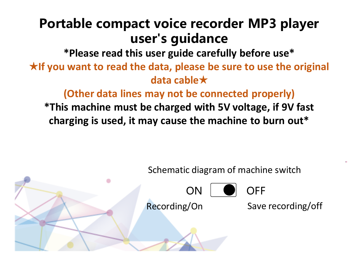# Portable compact voice recorder MP3 player user's guidance

**\*Please read this user guide carefully before use\***

★**If you want to read the data, please be sure to use the original data cable**★

**(Other data lines may not be connected properly) \*This machine must be charged with 5V voltage, if 9V fast charging is used, it may cause the machine to burn out\***

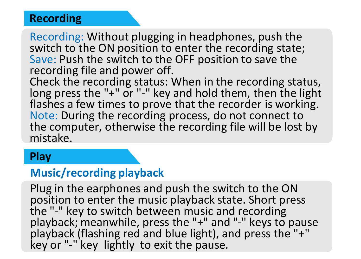#### **Recording**

Recording: Without plugging in headphones, push the switch to the ON position to enter the recording state; Save: Push the switch to the OFF position to save the recording file and power off.

Check the recording status: When in the recording status, long press the "+" or "-" key and hold them, then the light flashes a few times to prove that the recorder is working. Note: During the recording process, do not connect to the computer, otherwise the recording file will be lost by mistake.

#### **Play**

# **Music/recording playback**

Plug in the earphones and push the switch to the ON position to enter the music playback state. Short press the "-" key to switch between music and recording playback; meanwhile, press the "+" and "-" keys to pause playback (flashing red and blue light), and press the "+" key or "-" key lightly to exit the pause.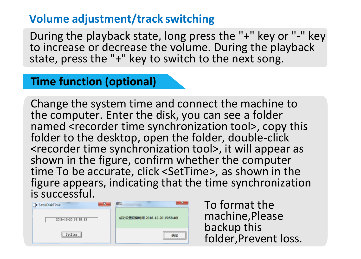### **Volume adjustment/track switching**

During the playback state, long press the "+" key or "-" key to increase or decrease the volume. During the playback state, press the "+" key to switch to the next song.

#### **Time function (optional)**

Change the system time and connect the machine to the computer. Enter the disk, you can see a folder named <recorder time synchronization tool>, copy this folder to the desktop, open the folder, double-click <recorder time synchronization tool>, it will appear as shown in the figure, confirm whether the computer time To be accurate, click <SetTime>, as shown in the figure appears, indicating that the time synchronization is successful.



To format the machine,Please backup this folder,Prevent loss.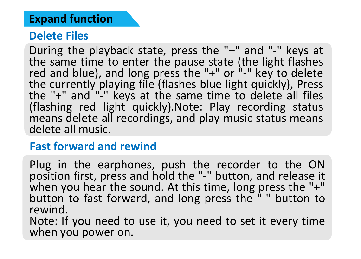### **Expand function**

### **Delete Files**

During the playback state, press the "+" and "-" keys at the same time to enter the pause state (the light flashes red and blue), and long press the "+" or "-" key to delete the currently playing file (flashes blue light quickly), Press the "+" and "-" keys at the same time to delete all files (flashing red light quickly).Note: Play recording status means delete all recordings, and play music status means delete all music.

# **Fast forward and rewind**

Plug in the earphones, push the recorder to the ON position first, press and hold the "-" button, and release it when you hear the sound. At this time, long press the "+" button to fast forward, and long press the "-" button to rewind.

Note: If you need to use it, you need to set it every time when you power on.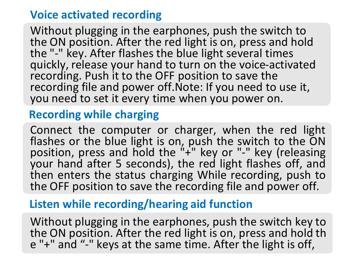# **Voice activated recording**

Without plugging in the earphones, push the switch to the ON position. After the red light is on, press and hold the "-" key. After flashes the blue light several times quickly, release your hand to turn on the voice-activated recording. Push it to the OFF position to save the recording file and power off.Note: If you need to use it, you need to set it every time when you power on.

# **Recording while charging**

Connect the computer or charger, when the red light flashes or the blue light is on, push the switch to the ON position, press and hold the "+" key or "-" key (releasing your hand after 5 seconds), the red light flashes off, and then enters the status charging While recording, push to the OFF position to save the recording file and power off.

# **Listen while recording/hearing aid function**

Without plugging in the earphones, push the switch key to the ON position. After the red light is on, press and hold th e "+" and "-" keys at the same time. After the light is off,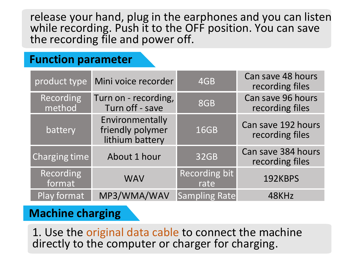release your hand, plug in the earphones and you can listen while recording. Push it to the OFF position. You can save the recording file and power off.

### **Function parameter**

| product type        | Mini voice recorder                                    | 4GB                   | Can save 48 hours<br>recording files  |
|---------------------|--------------------------------------------------------|-----------------------|---------------------------------------|
| Recording<br>method | Turn on - recording,<br>Turn off - save                | 8GB                   | Can save 96 hours<br>recording files  |
| battery             | Environmentally<br>friendly polymer<br>lithium battery | 16GB                  | Can save 192 hours<br>recording files |
| Charging time       | About 1 hour                                           | 32GB                  | Can save 384 hours<br>recording files |
| Recording<br>format | <b>WAV</b>                                             | Recording bit<br>rate | 192KBPS                               |
| Play format         | MP3/WMA/WAV                                            | <b>Sampling Rate</b>  | 48KHz                                 |

# **Machine charging**

1. Use the original data cable to connect the machine directly to the computer or charger for charging.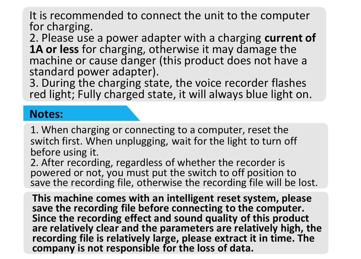It is recommended to connect the unit to the computer for charging.

2. Please use a power adapter with a charging **current of 1A or less** for charging, otherwise it may damage the machine or cause danger (this product does not have a standard power adapter).

3. During the charging state, the voice recorder flashes red light; Fully charged state, it will always blue light on.

#### **Notes:**

1. When charging or connecting to a computer, reset the switch first. When unplugging, wait for the light to turn off before using it.

2. After recording, regardless of whether the recorder is powered or not, you must put the switch to off position to save the recording file, otherwise the recording file will be lost.

**This machine comes with an intelligent reset system, please save the recording file before connecting to the computer. Since the recording effect and sound quality of this product are relatively clear and the parameters are relatively high, the recording file is relatively large, please extract it in time. The company is not responsible for the loss of data.**